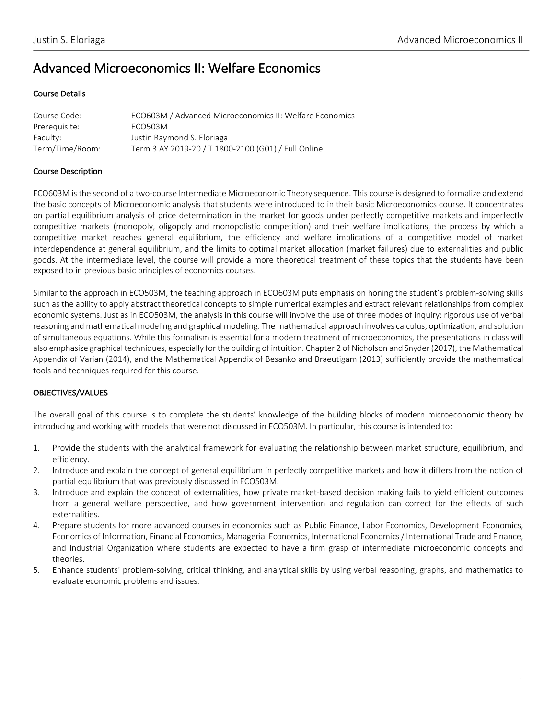# Advanced Microeconomics II: Welfare Economics

### Course Details

| Course Code:    | ECO603M / Advanced Microeconomics II: Welfare Economics |
|-----------------|---------------------------------------------------------|
| Prerequisite:   | ECO503M                                                 |
| Faculty:        | Justin Raymond S. Eloriaga                              |
| Term/Time/Room: | Term 3 AY 2019-20 / T 1800-2100 (G01) / Full Online     |

### Course Description

ECO603M is the second of a two-course Intermediate Microeconomic Theory sequence. This course is designed to formalize and extend the basic concepts of Microeconomic analysis that students were introduced to in their basic Microeconomics course. It concentrates on partial equilibrium analysis of price determination in the market for goods under perfectly competitive markets and imperfectly competitive markets (monopoly, oligopoly and monopolistic competition) and their welfare implications, the process by which a competitive market reaches general equilibrium, the efficiency and welfare implications of a competitive model of market interdependence at general equilibrium, and the limits to optimal market allocation (market failures) due to externalities and public goods. At the intermediate level, the course will provide a more theoretical treatment of these topics that the students have been exposed to in previous basic principles of economics courses.

Similar to the approach in ECO503M, the teaching approach in ECO603M puts emphasis on honing the student's problem-solving skills such as the ability to apply abstract theoretical concepts to simple numerical examples and extract relevant relationships from complex economic systems. Just as in ECO503M, the analysis in this course will involve the use of three modes of inquiry: rigorous use of verbal reasoning and mathematical modeling and graphical modeling. The mathematical approach involves calculus, optimization, and solution of simultaneous equations. While this formalism is essential for a modern treatment of microeconomics, the presentations in class will also emphasize graphical techniques, especially for the building of intuition. Chapter 2 of Nicholson and Snyder (2017), the Mathematical Appendix of Varian (2014), and the Mathematical Appendix of Besanko and Braeutigam (2013) sufficiently provide the mathematical tools and techniques required for this course.

# OBJECTIVES/VALUES

The overall goal of this course is to complete the students' knowledge of the building blocks of modern microeconomic theory by introducing and working with models that were not discussed in ECO503M. In particular, this course is intended to:

- 1. Provide the students with the analytical framework for evaluating the relationship between market structure, equilibrium, and efficiency.
- 2. Introduce and explain the concept of general equilibrium in perfectly competitive markets and how it differs from the notion of partial equilibrium that was previously discussed in ECO503M.
- 3. Introduce and explain the concept of externalities, how private market-based decision making fails to yield efficient outcomes from a general welfare perspective, and how government intervention and regulation can correct for the effects of such externalities.
- 4. Prepare students for more advanced courses in economics such as Public Finance, Labor Economics, Development Economics, Economics of Information, Financial Economics, Managerial Economics, International Economics / International Trade and Finance, and Industrial Organization where students are expected to have a firm grasp of intermediate microeconomic concepts and theories.
- 5. Enhance students' problem-solving, critical thinking, and analytical skills by using verbal reasoning, graphs, and mathematics to evaluate economic problems and issues.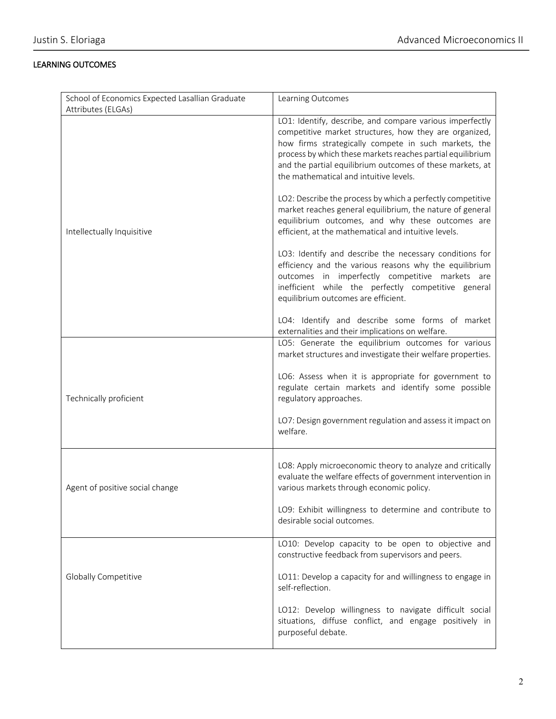# LEARNING OUTCOMES

| School of Economics Expected Lasallian Graduate | Learning Outcomes                                                                                                                                                                                                                                                                                                                               |
|-------------------------------------------------|-------------------------------------------------------------------------------------------------------------------------------------------------------------------------------------------------------------------------------------------------------------------------------------------------------------------------------------------------|
| Attributes (ELGAs)                              |                                                                                                                                                                                                                                                                                                                                                 |
|                                                 | LO1: Identify, describe, and compare various imperfectly<br>competitive market structures, how they are organized,<br>how firms strategically compete in such markets, the<br>process by which these markets reaches partial equilibrium<br>and the partial equilibrium outcomes of these markets, at<br>the mathematical and intuitive levels. |
| Intellectually Inquisitive                      | LO2: Describe the process by which a perfectly competitive<br>market reaches general equilibrium, the nature of general<br>equilibrium outcomes, and why these outcomes are<br>efficient, at the mathematical and intuitive levels.                                                                                                             |
|                                                 | LO3: Identify and describe the necessary conditions for<br>efficiency and the various reasons why the equilibrium<br>outcomes in imperfectly competitive markets are<br>inefficient while the perfectly competitive general<br>equilibrium outcomes are efficient.                                                                              |
|                                                 | LO4: Identify and describe some forms of market<br>externalities and their implications on welfare.                                                                                                                                                                                                                                             |
|                                                 | LO5: Generate the equilibrium outcomes for various<br>market structures and investigate their welfare properties.                                                                                                                                                                                                                               |
| Technically proficient                          | LO6: Assess when it is appropriate for government to<br>regulate certain markets and identify some possible<br>regulatory approaches.                                                                                                                                                                                                           |
|                                                 | LO7: Design government regulation and assess it impact on<br>welfare.                                                                                                                                                                                                                                                                           |
| Agent of positive social change                 | LO8: Apply microeconomic theory to analyze and critically<br>evaluate the welfare effects of government intervention in<br>various markets through economic policy.                                                                                                                                                                             |
|                                                 | LO9: Exhibit willingness to determine and contribute to<br>desirable social outcomes.                                                                                                                                                                                                                                                           |
|                                                 | LO10: Develop capacity to be open to objective and<br>constructive feedback from supervisors and peers.                                                                                                                                                                                                                                         |
| Globally Competitive                            | LO11: Develop a capacity for and willingness to engage in<br>self-reflection.                                                                                                                                                                                                                                                                   |
|                                                 | LO12: Develop willingness to navigate difficult social<br>situations, diffuse conflict, and engage positively in<br>purposeful debate.                                                                                                                                                                                                          |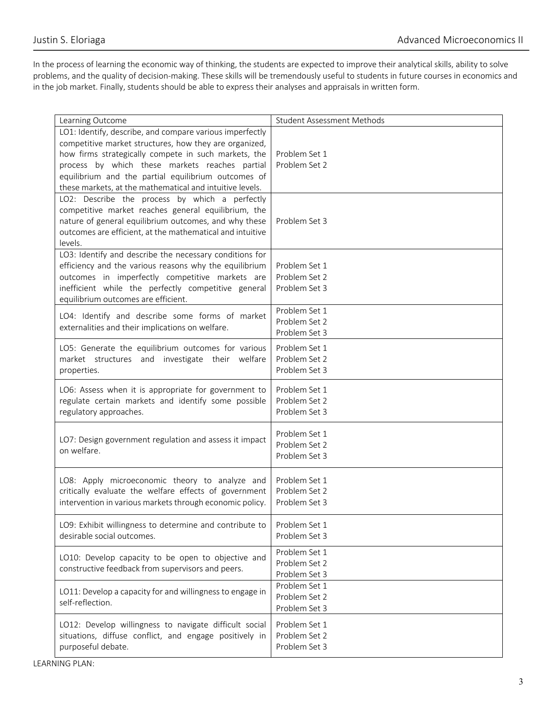In the process of learning the economic way of thinking, the students are expected to improve their analytical skills, ability to solve problems, and the quality of decision-making. These skills will be tremendously useful to students in future courses in economics and in the job market. Finally, students should be able to express their analyses and appraisals in written form.

| Learning Outcome                                                                                                                                                                                                                                                                                                                                | <b>Student Assessment Methods</b>               |
|-------------------------------------------------------------------------------------------------------------------------------------------------------------------------------------------------------------------------------------------------------------------------------------------------------------------------------------------------|-------------------------------------------------|
| LO1: Identify, describe, and compare various imperfectly<br>competitive market structures, how they are organized,<br>how firms strategically compete in such markets, the<br>process by which these markets reaches partial<br>equilibrium and the partial equilibrium outcomes of<br>these markets, at the mathematical and intuitive levels. | Problem Set 1<br>Problem Set 2                  |
| LO2: Describe the process by which a perfectly<br>competitive market reaches general equilibrium, the<br>nature of general equilibrium outcomes, and why these<br>outcomes are efficient, at the mathematical and intuitive<br>levels.                                                                                                          | Problem Set 3                                   |
| LO3: Identify and describe the necessary conditions for<br>efficiency and the various reasons why the equilibrium<br>outcomes in imperfectly competitive markets are<br>inefficient while the perfectly competitive general<br>equilibrium outcomes are efficient.                                                                              | Problem Set 1<br>Problem Set 2<br>Problem Set 3 |
| LO4: Identify and describe some forms of market<br>externalities and their implications on welfare.                                                                                                                                                                                                                                             | Problem Set 1<br>Problem Set 2<br>Problem Set 3 |
| LO5: Generate the equilibrium outcomes for various<br>market structures and investigate their welfare<br>properties.                                                                                                                                                                                                                            | Problem Set 1<br>Problem Set 2<br>Problem Set 3 |
| LO6: Assess when it is appropriate for government to<br>regulate certain markets and identify some possible<br>regulatory approaches.                                                                                                                                                                                                           | Problem Set 1<br>Problem Set 2<br>Problem Set 3 |
| LO7: Design government regulation and assess it impact<br>on welfare.                                                                                                                                                                                                                                                                           | Problem Set 1<br>Problem Set 2<br>Problem Set 3 |
| LO8: Apply microeconomic theory to analyze and<br>critically evaluate the welfare effects of government<br>intervention in various markets through economic policy.                                                                                                                                                                             | Problem Set 1<br>Problem Set 2<br>Problem Set 3 |
| LO9: Exhibit willingness to determine and contribute to<br>desirable social outcomes.                                                                                                                                                                                                                                                           | Problem Set 1<br>Problem Set 3                  |
| LO10: Develop capacity to be open to objective and<br>constructive feedback from supervisors and peers.                                                                                                                                                                                                                                         | Problem Set 1<br>Problem Set 2<br>Problem Set 3 |
| LO11: Develop a capacity for and willingness to engage in<br>self-reflection.                                                                                                                                                                                                                                                                   | Problem Set 1<br>Problem Set 2<br>Problem Set 3 |
| LO12: Develop willingness to navigate difficult social<br>situations, diffuse conflict, and engage positively in<br>purposeful debate.                                                                                                                                                                                                          | Problem Set 1<br>Problem Set 2<br>Problem Set 3 |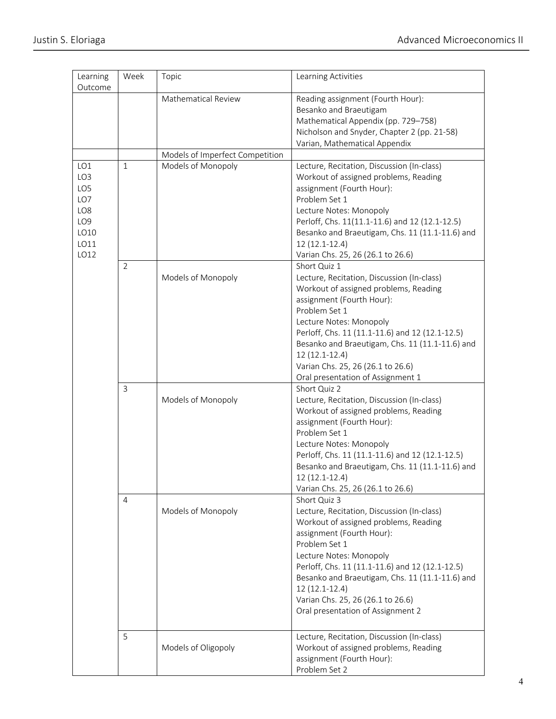| Learning<br>Outcome                                                                    | Week         | Topic                           | Learning Activities                                                                                                                                                                                                                                                                                                                                                            |
|----------------------------------------------------------------------------------------|--------------|---------------------------------|--------------------------------------------------------------------------------------------------------------------------------------------------------------------------------------------------------------------------------------------------------------------------------------------------------------------------------------------------------------------------------|
|                                                                                        |              | Mathematical Review             | Reading assignment (Fourth Hour):<br>Besanko and Braeutigam<br>Mathematical Appendix (pp. 729-758)<br>Nicholson and Snyder, Chapter 2 (pp. 21-58)<br>Varian, Mathematical Appendix                                                                                                                                                                                             |
|                                                                                        |              | Models of Imperfect Competition |                                                                                                                                                                                                                                                                                                                                                                                |
| LO1<br>LO <sub>3</sub><br>LO5<br>LO7<br>LO8<br>LO <sub>9</sub><br>LO10<br>LO11<br>LO12 | $\mathbf{1}$ | Models of Monopoly              | Lecture, Recitation, Discussion (In-class)<br>Workout of assigned problems, Reading<br>assignment (Fourth Hour):<br>Problem Set 1<br>Lecture Notes: Monopoly<br>Perloff, Chs. 11(11.1-11.6) and 12 (12.1-12.5)<br>Besanko and Braeutigam, Chs. 11 (11.1-11.6) and<br>12 (12.1-12.4)<br>Varian Chs. 25, 26 (26.1 to 26.6)                                                       |
|                                                                                        | 2            | Models of Monopoly              | Short Quiz 1<br>Lecture, Recitation, Discussion (In-class)<br>Workout of assigned problems, Reading<br>assignment (Fourth Hour):<br>Problem Set 1<br>Lecture Notes: Monopoly<br>Perloff, Chs. 11 (11.1-11.6) and 12 (12.1-12.5)<br>Besanko and Braeutigam, Chs. 11 (11.1-11.6) and<br>12 (12.1-12.4)<br>Varian Chs. 25, 26 (26.1 to 26.6)<br>Oral presentation of Assignment 1 |
|                                                                                        | $\mathbf{3}$ | Models of Monopoly              | Short Quiz 2<br>Lecture, Recitation, Discussion (In-class)<br>Workout of assigned problems, Reading<br>assignment (Fourth Hour):<br>Problem Set 1<br>Lecture Notes: Monopoly<br>Perloff, Chs. 11 (11.1-11.6) and 12 (12.1-12.5)<br>Besanko and Braeutigam, Chs. 11 (11.1-11.6) and<br>12 (12.1-12.4)<br>Varian Chs. 25, 26 (26.1 to 26.6)                                      |
|                                                                                        | 4            | Models of Monopoly              | Short Quiz 3<br>Lecture, Recitation, Discussion (In-class)<br>Workout of assigned problems, Reading<br>assignment (Fourth Hour):<br>Problem Set 1<br>Lecture Notes: Monopoly<br>Perloff, Chs. 11 (11.1-11.6) and 12 (12.1-12.5)<br>Besanko and Braeutigam, Chs. 11 (11.1-11.6) and<br>12 (12.1-12.4)<br>Varian Chs. 25, 26 (26.1 to 26.6)<br>Oral presentation of Assignment 2 |
|                                                                                        | 5            | Models of Oligopoly             | Lecture, Recitation, Discussion (In-class)<br>Workout of assigned problems, Reading<br>assignment (Fourth Hour):<br>Problem Set 2                                                                                                                                                                                                                                              |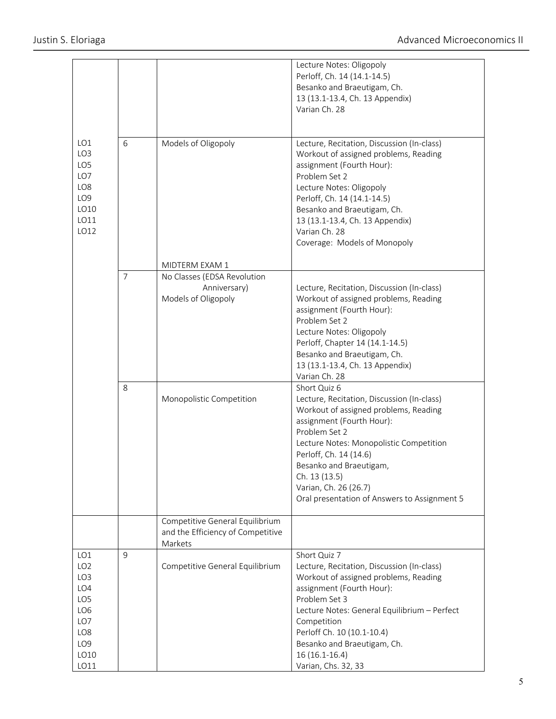|                                                                                                                                         |                     |                                                                                                | Lecture Notes: Oligopoly<br>Perloff, Ch. 14 (14.1-14.5)<br>Besanko and Braeutigam, Ch.<br>13 (13.1-13.4, Ch. 13 Appendix)<br>Varian Ch. 28                                                                                                                                                                                                        |
|-----------------------------------------------------------------------------------------------------------------------------------------|---------------------|------------------------------------------------------------------------------------------------|---------------------------------------------------------------------------------------------------------------------------------------------------------------------------------------------------------------------------------------------------------------------------------------------------------------------------------------------------|
| LO1<br>6<br>LO <sub>3</sub><br>LO <sub>5</sub><br>LO7<br>LO <sub>8</sub><br>LO <sub>9</sub><br>LO10<br>LO11<br>LO12                     |                     | Models of Oligopoly                                                                            | Lecture, Recitation, Discussion (In-class)<br>Workout of assigned problems, Reading<br>assignment (Fourth Hour):<br>Problem Set 2<br>Lecture Notes: Oligopoly<br>Perloff, Ch. 14 (14.1-14.5)<br>Besanko and Braeutigam, Ch.<br>13 (13.1-13.4, Ch. 13 Appendix)<br>Varian Ch. 28<br>Coverage: Models of Monopoly                                   |
|                                                                                                                                         |                     | MIDTERM EXAM 1                                                                                 |                                                                                                                                                                                                                                                                                                                                                   |
|                                                                                                                                         | $\overline{7}$<br>8 | No Classes (EDSA Revolution<br>Anniversary)<br>Models of Oligopoly<br>Monopolistic Competition | Lecture, Recitation, Discussion (In-class)<br>Workout of assigned problems, Reading<br>assignment (Fourth Hour):<br>Problem Set 2<br>Lecture Notes: Oligopoly<br>Perloff, Chapter 14 (14.1-14.5)<br>Besanko and Braeutigam, Ch.<br>13 (13.1-13.4, Ch. 13 Appendix)<br>Varian Ch. 28<br>Short Quiz 6<br>Lecture, Recitation, Discussion (In-class) |
|                                                                                                                                         |                     |                                                                                                | Workout of assigned problems, Reading<br>assignment (Fourth Hour):<br>Problem Set 2<br>Lecture Notes: Monopolistic Competition<br>Perloff, Ch. 14 (14.6)<br>Besanko and Braeutigam,<br>Ch. 13 (13.5)<br>Varian, Ch. 26 (26.7)<br>Oral presentation of Answers to Assignment 5                                                                     |
|                                                                                                                                         |                     | Competitive General Equilibrium<br>and the Efficiency of Competitive<br>Markets                |                                                                                                                                                                                                                                                                                                                                                   |
| LO1<br>LO <sub>2</sub><br>LO <sub>3</sub><br>LO4<br>LO <sub>5</sub><br>LO <sub>6</sub><br>LO7<br>LO8<br>LO <sub>9</sub><br>LO10<br>LO11 | 9                   | Competitive General Equilibrium                                                                | Short Quiz 7<br>Lecture, Recitation, Discussion (In-class)<br>Workout of assigned problems, Reading<br>assignment (Fourth Hour):<br>Problem Set 3<br>Lecture Notes: General Equilibrium - Perfect<br>Competition<br>Perloff Ch. 10 (10.1-10.4)<br>Besanko and Braeutigam, Ch.<br>$16(16.1-16.4)$<br>Varian, Chs. 32, 33                           |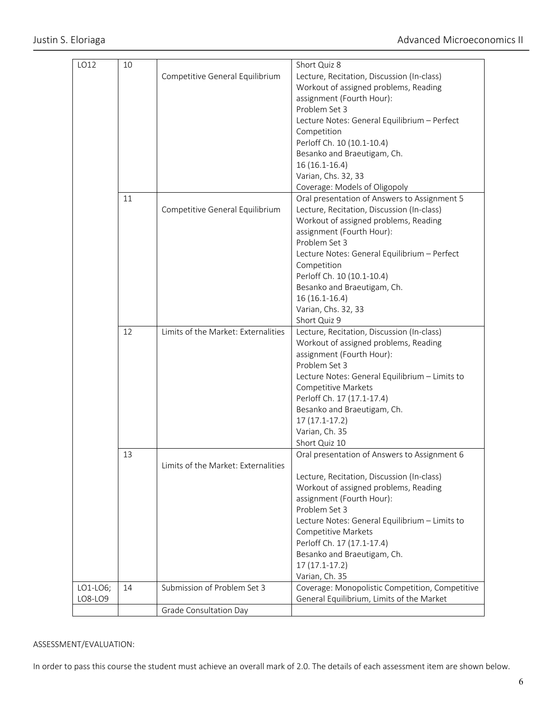| LO12     | 10 |                                     | Short Quiz 8                                    |
|----------|----|-------------------------------------|-------------------------------------------------|
|          |    | Competitive General Equilibrium     | Lecture, Recitation, Discussion (In-class)      |
|          |    |                                     | Workout of assigned problems, Reading           |
|          |    |                                     | assignment (Fourth Hour):                       |
|          |    |                                     | Problem Set 3                                   |
|          |    |                                     | Lecture Notes: General Equilibrium - Perfect    |
|          |    |                                     | Competition                                     |
|          |    |                                     | Perloff Ch. 10 (10.1-10.4)                      |
|          |    |                                     | Besanko and Braeutigam, Ch.                     |
|          |    |                                     | 16 (16.1-16.4)                                  |
|          |    |                                     | Varian, Chs. 32, 33                             |
|          |    |                                     | Coverage: Models of Oligopoly                   |
|          | 11 |                                     | Oral presentation of Answers to Assignment 5    |
|          |    |                                     | Lecture, Recitation, Discussion (In-class)      |
|          |    | Competitive General Equilibrium     |                                                 |
|          |    |                                     | Workout of assigned problems, Reading           |
|          |    |                                     | assignment (Fourth Hour):                       |
|          |    |                                     | Problem Set 3                                   |
|          |    |                                     | Lecture Notes: General Equilibrium - Perfect    |
|          |    |                                     | Competition                                     |
|          |    |                                     | Perloff Ch. 10 (10.1-10.4)                      |
|          |    |                                     | Besanko and Braeutigam, Ch.                     |
|          |    |                                     | 16 (16.1-16.4)                                  |
|          |    |                                     | Varian, Chs. 32, 33                             |
|          |    |                                     | Short Quiz 9                                    |
|          | 12 | Limits of the Market: Externalities | Lecture, Recitation, Discussion (In-class)      |
|          |    |                                     | Workout of assigned problems, Reading           |
|          |    |                                     | assignment (Fourth Hour):                       |
|          |    |                                     | Problem Set 3                                   |
|          |    |                                     | Lecture Notes: General Equilibrium - Limits to  |
|          |    |                                     | Competitive Markets                             |
|          |    |                                     | Perloff Ch. 17 (17.1-17.4)                      |
|          |    |                                     | Besanko and Braeutigam, Ch.                     |
|          |    |                                     | $17(17.1-17.2)$                                 |
|          |    |                                     | Varian, Ch. 35                                  |
|          |    |                                     | Short Quiz 10                                   |
|          |    |                                     |                                                 |
|          | 13 |                                     | Oral presentation of Answers to Assignment 6    |
|          |    | Limits of the Market: Externalities |                                                 |
|          |    |                                     | Lecture, Recitation, Discussion (In-class)      |
|          |    |                                     | Workout of assigned problems, Reading           |
|          |    |                                     | assignment (Fourth Hour):                       |
|          |    |                                     | Problem Set 3                                   |
|          |    |                                     | Lecture Notes: General Equilibrium - Limits to  |
|          |    |                                     | Competitive Markets                             |
|          |    |                                     | Perloff Ch. 17 (17.1-17.4)                      |
|          |    |                                     | Besanko and Braeutigam, Ch.                     |
|          |    |                                     | $17(17.1-17.2)$                                 |
|          |    |                                     | Varian, Ch. 35                                  |
| LO1-LO6; | 14 | Submission of Problem Set 3         | Coverage: Monopolistic Competition, Competitive |
| LO8-LO9  |    |                                     | General Equilibrium, Limits of the Market       |
|          |    | Grade Consultation Day              |                                                 |

# ASSESSMENT/EVALUATION:

In order to pass this course the student must achieve an overall mark of 2.0. The details of each assessment item are shown below.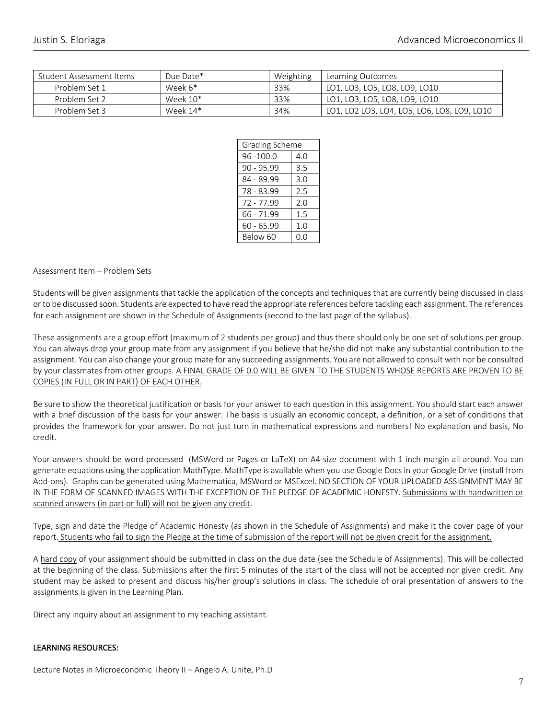| Student Assessment Items | Due Date*  | Weighting | Learning Outcomes                           |
|--------------------------|------------|-----------|---------------------------------------------|
| Problem Set 1            | Week 6*    | 33%       | LO1, LO3, LO5, LO8, LO9, LO10               |
| Problem Set 2            | Week 10*   | 33%       | LO1, LO3, LO5, LO8, LO9, LO10               |
| Problem Set 3            | Week $14*$ | 34%       | LO1, LO2 LO3, LO4, LO5, LO6, LO8, LO9, LO10 |

| Grading Scheme  |     |  |
|-----------------|-----|--|
| $96 - 100.0$    | 4.0 |  |
| $90 - 95.99$    | 3.5 |  |
| 84 - 89.99      | 3.0 |  |
| 78 - 83.99      | 2.5 |  |
| 72 - 77.99      | 2.0 |  |
| 66 - 71.99      | 1.5 |  |
| $60 - 65.99$    | 1.0 |  |
| <b>Below 60</b> | റ.റ |  |

#### Assessment Item – Problem Sets

Students will be given assignments that tackle the application of the concepts and techniques that are currently being discussed in class or to be discussed soon. Students are expected to have read the appropriate references before tackling each assignment. The references for each assignment are shown in the Schedule of Assignments (second to the last page of the syllabus).

These assignments are a group effort (maximum of 2 students per group) and thus there should only be one set of solutions per group. You can always drop your group mate from any assignment if you believe that he/she did not make any substantial contribution to the assignment. You can also change your group mate for any succeeding assignments. You are not allowed to consult with nor be consulted by your classmates from other groups. A FINAL GRADE OF 0.0 WILL BE GIVEN TO THE STUDENTS WHOSE REPORTS ARE PROVEN TO BE COPIES (IN FULL OR IN PART) OF EACH OTHER.

Be sure to show the theoretical justification or basis for your answer to each question in this assignment. You should start each answer with a brief discussion of the basis for your answer. The basis is usually an economic concept, a definition, or a set of conditions that provides the framework for your answer. Do not just turn in mathematical expressions and numbers! No explanation and basis, No credit.

Your answers should be word processed (MSWord or Pages or LaTeX) on A4-size document with 1 inch margin all around. You can generate equations using the application MathType. MathType is available when you use Google Docs in your Google Drive (install from Add-ons). Graphs can be generated using Mathematica, MSWord or MSExcel. NO SECTION OF YOUR UPLOADED ASSIGNMENT MAY BE IN THE FORM OF SCANNED IMAGES WITH THE EXCEPTION OF THE PLEDGE OF ACADEMIC HONESTY. Submissions with handwritten or scanned answers (in part or full) will not be given any credit.

Type, sign and date the Pledge of Academic Honesty (as shown in the Schedule of Assignments) and make it the cover page of your report. Students who fail to sign the Pledge at the time of submission of the report will not be given credit for the assignment.

A hard copy of your assignment should be submitted in class on the due date (see the Schedule of Assignments). This will be collected at the beginning of the class. Submissions after the first 5 minutes of the start of the class will not be accepted nor given credit. Any student may be asked to present and discuss his/her group's solutions in class. The schedule of oral presentation of answers to the assignments is given in the Learning Plan.

Direct any inquiry about an assignment to my teaching assistant.

### LEARNING RESOURCES: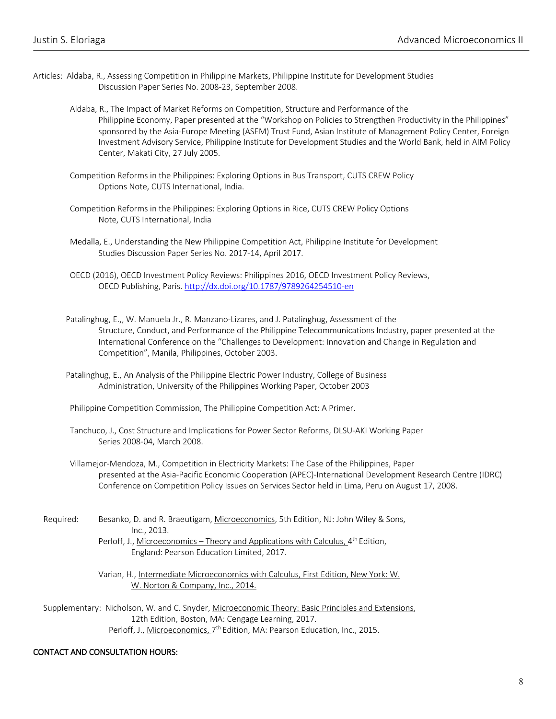- Articles: Aldaba, R., Assessing Competition in Philippine Markets, Philippine Institute for Development Studies Discussion Paper Series No. 2008-23, September 2008.
	- Aldaba, R., The Impact of Market Reforms on Competition, Structure and Performance of the Philippine Economy, Paper presented at the "Workshop on Policies to Strengthen Productivity in the Philippines" sponsored by the Asia-Europe Meeting (ASEM) Trust Fund, Asian Institute of Management Policy Center, Foreign Investment Advisory Service, Philippine Institute for Development Studies and the World Bank, held in AIM Policy Center, Makati City, 27 July 2005.
	- Competition Reforms in the Philippines: Exploring Options in Bus Transport, CUTS CREW Policy Options Note, CUTS International, India.
	- Competition Reforms in the Philippines: Exploring Options in Rice, CUTS CREW Policy Options Note, CUTS International, India
	- Medalla, E., Understanding the New Philippine Competition Act, Philippine Institute for Development Studies Discussion Paper Series No. 2017-14, April 2017.
	- OECD (2016), OECD Investment Policy Reviews: Philippines 2016, OECD Investment Policy Reviews, OECD Publishing, Paris. http://dx.doi.org/10.1787/9789264254510-en
	- Patalinghug, E.,, W. Manuela Jr., R. Manzano-Lizares, and J. Patalinghug, Assessment of the Structure, Conduct, and Performance of the Philippine Telecommunications Industry, paper presented at the International Conference on the "Challenges to Development: Innovation and Change in Regulation and Competition", Manila, Philippines, October 2003.
	- Patalinghug, E., An Analysis of the Philippine Electric Power Industry, College of Business Administration, University of the Philippines Working Paper, October 2003
	- Philippine Competition Commission, The Philippine Competition Act: A Primer.
	- Tanchuco, J., Cost Structure and Implications for Power Sector Reforms, DLSU-AKI Working Paper Series 2008-04, March 2008.
	- Villamejor-Mendoza, M., Competition in Electricity Markets: The Case of the Philippines, Paper presented at the Asia-Pacific Economic Cooperation (APEC)-International Development Research Centre (IDRC) Conference on Competition Policy Issues on Services Sector held in Lima, Peru on August 17, 2008.
	- Required: Besanko, D. and R. Braeutigam, Microeconomics, 5th Edition, NJ: John Wiley & Sons, Inc., 2013.
		- Perloff, J., Microeconomics Theory and Applications with Calculus,  $4<sup>th</sup>$  Edition, England: Pearson Education Limited, 2017.
		- Varian, H., Intermediate Microeconomics with Calculus, First Edition, New York: W. W. Norton & Company, Inc., 2014.
	- Supplementary: Nicholson, W. and C. Snyder, Microeconomic Theory: Basic Principles and Extensions, 12th Edition, Boston, MA: Cengage Learning, 2017. Perloff, J., Microeconomics, 7<sup>th</sup> Edition, MA: Pearson Education, Inc., 2015.

### CONTACT AND CONSULTATION HOURS: